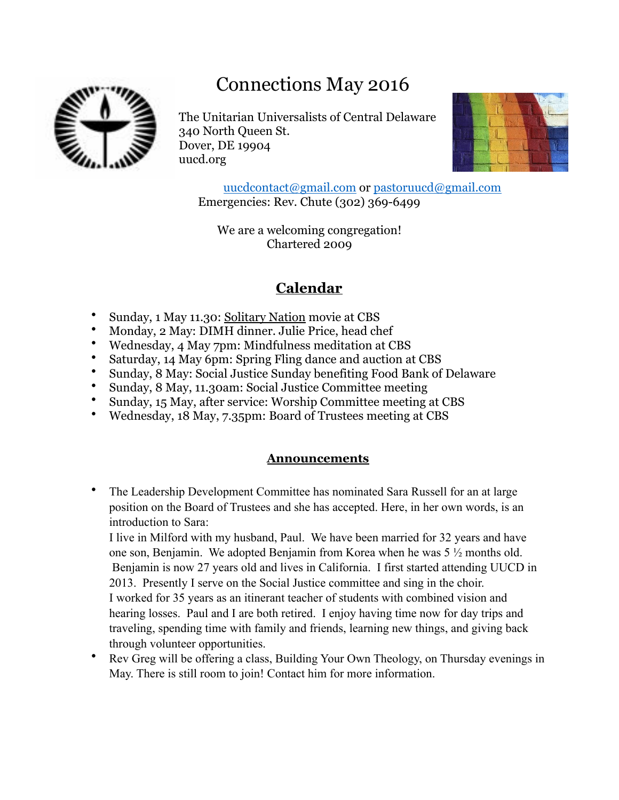# Connections May 2016



The Unitarian Universalists of Central Delaware 340 North Queen St. Dover, DE 19904 uucd.org



[uucdcontact@gmail.com](mailto:uucdcontact@gmail.com) or [pastoruucd@gmail.com](mailto:pastoruucd@gmail.com) Emergencies: Rev. Chute (302) 369-6499

We are a welcoming congregation! Chartered 2009

# **Calendar**

- Sunday, 1 May 11.30: Solitary Nation movie at CBS
- Monday, 2 May: DIMH dinner. Julie Price, head chef
- Wednesday, 4 May 7pm: Mindfulness meditation at CBS
- Saturday, 14 May 6pm: Spring Fling dance and auction at CBS
- Sunday, 8 May: Social Justice Sunday benefiting Food Bank of Delaware
- Sunday, 8 May, 11.30am: Social Justice Committee meeting
- Sunday, 15 May, after service: Worship Committee meeting at CBS
- Wednesday, 18 May, 7.35pm: Board of Trustees meeting at CBS

### **Announcements**

• The Leadership Development Committee has nominated Sara Russell for an at large position on the Board of Trustees and she has accepted. Here, in her own words, is an introduction to Sara:

I live in Milford with my husband, Paul. We have been married for 32 years and have one son, Benjamin. We adopted Benjamin from Korea when he was 5 ½ months old. Benjamin is now 27 years old and lives in California. I first started attending UUCD in 2013. Presently I serve on the Social Justice committee and sing in the choir. I worked for 35 years as an itinerant teacher of students with combined vision and hearing losses. Paul and I are both retired. I enjoy having time now for day trips and traveling, spending time with family and friends, learning new things, and giving back through volunteer opportunities.

• Rev Greg will be offering a class, Building Your Own Theology, on Thursday evenings in May. There is still room to join! Contact him for more information.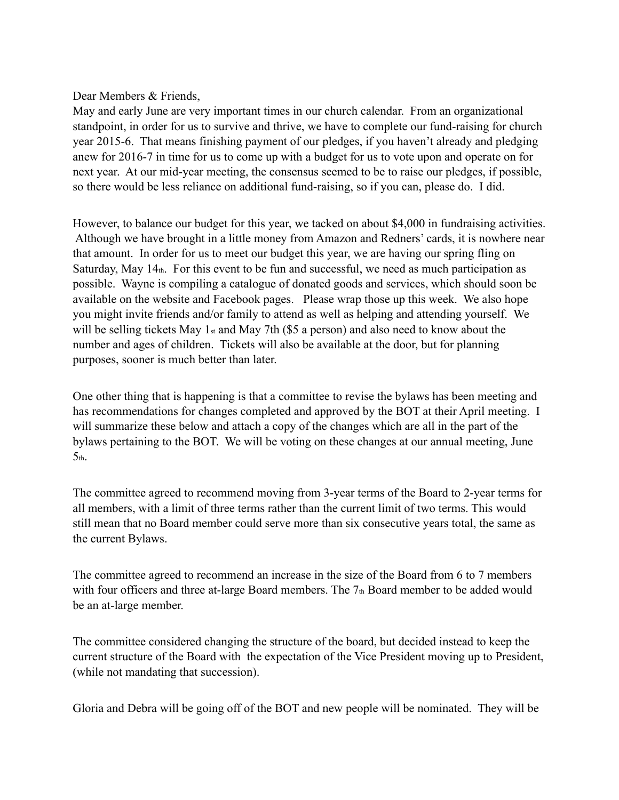#### Dear Members & Friends.

May and early June are very important times in our church calendar. From an organizational standpoint, in order for us to survive and thrive, we have to complete our fund-raising for church year 2015-6. That means finishing payment of our pledges, if you haven't already and pledging anew for 2016-7 in time for us to come up with a budget for us to vote upon and operate on for next year. At our mid-year meeting, the consensus seemed to be to raise our pledges, if possible, so there would be less reliance on additional fund-raising, so if you can, please do. I did.

However, to balance our budget for this year, we tacked on about \$4,000 in fundraising activities. Although we have brought in a little money from Amazon and Redners' cards, it is nowhere near that amount. In order for us to meet our budget this year, we are having our spring fling on Saturday, May 14th. For this event to be fun and successful, we need as much participation as possible. Wayne is compiling a catalogue of donated goods and services, which should soon be available on the website and Facebook pages. Please wrap those up this week. We also hope you might invite friends and/or family to attend as well as helping and attending yourself. We will be selling tickets May 1st and May 7th (\$5 a person) and also need to know about the number and ages of children. Tickets will also be available at the door, but for planning purposes, sooner is much better than later.

One other thing that is happening is that a committee to revise the bylaws has been meeting and has recommendations for changes completed and approved by the BOT at their April meeting. I will summarize these below and attach a copy of the changes which are all in the part of the bylaws pertaining to the BOT. We will be voting on these changes at our annual meeting, June  $5<sub>th</sub>$ .

The committee agreed to recommend moving from 3-year terms of the Board to 2-year terms for all members, with a limit of three terms rather than the current limit of two terms. This would still mean that no Board member could serve more than six consecutive years total, the same as the current Bylaws.

The committee agreed to recommend an increase in the size of the Board from 6 to 7 members with four officers and three at-large Board members. The 7th Board member to be added would be an at-large member.

The committee considered changing the structure of the board, but decided instead to keep the current structure of the Board with the expectation of the Vice President moving up to President, (while not mandating that succession).

Gloria and Debra will be going off of the BOT and new people will be nominated. They will be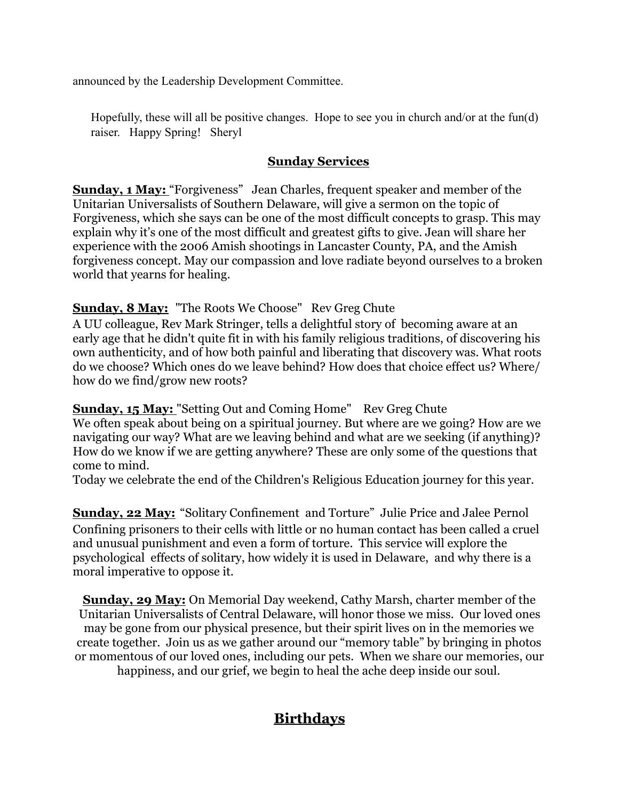announced by the Leadership Development Committee.

Hopefully, these will all be positive changes. Hope to see you in church and/or at the fun(d) raiser. Happy Spring! Sheryl

### **Sunday Services**

**Sunday, 1 May:** "Forgiveness" Jean Charles, frequent speaker and member of the Unitarian Universalists of Southern Delaware, will give a sermon on the topic of Forgiveness, which she says can be one of the most difficult concepts to grasp. This may explain why it's one of the most difficult and greatest gifts to give. Jean will share her experience with the 2006 Amish shootings in Lancaster County, PA, and the Amish forgiveness concept. May our compassion and love radiate beyond ourselves to a broken world that yearns for healing.

## **Sunday, 8 May:** "The Roots We Choose" Rev Greg Chute

A UU colleague, Rev Mark Stringer, tells a delightful story of becoming aware at an early age that he didn't quite fit in with his family religious traditions, of discovering his own authenticity, and of how both painful and liberating that discovery was. What roots do we choose? Which ones do we leave behind? How does that choice effect us? Where/ how do we find/grow new roots?

**Sunday, 15 May:** "Setting Out and Coming Home" Rev Greg Chute We often speak about being on a spiritual journey. But where are we going? How are we navigating our way? What are we leaving behind and what are we seeking (if anything)? How do we know if we are getting anywhere? These are only some of the questions that come to mind.

Today we celebrate the end of the Children's Religious Education journey for this year.

**Sunday, 22 May:** "Solitary Confinement and Torture" Julie Price and Jalee Pernol Confining prisoners to their cells with little or no human contact has been called a cruel and unusual punishment and even a form of torture. This service will explore the psychological effects of solitary, how widely it is used in Delaware, and why there is a moral imperative to oppose it.

**Sunday, 29 May:** On Memorial Day weekend, Cathy Marsh, charter member of the Unitarian Universalists of Central Delaware, will honor those we miss. Our loved ones may be gone from our physical presence, but their spirit lives on in the memories we create together. Join us as we gather around our "memory table" by bringing in photos or momentous of our loved ones, including our pets. When we share our memories, our happiness, and our grief, we begin to heal the ache deep inside our soul.

# **Birthdays**